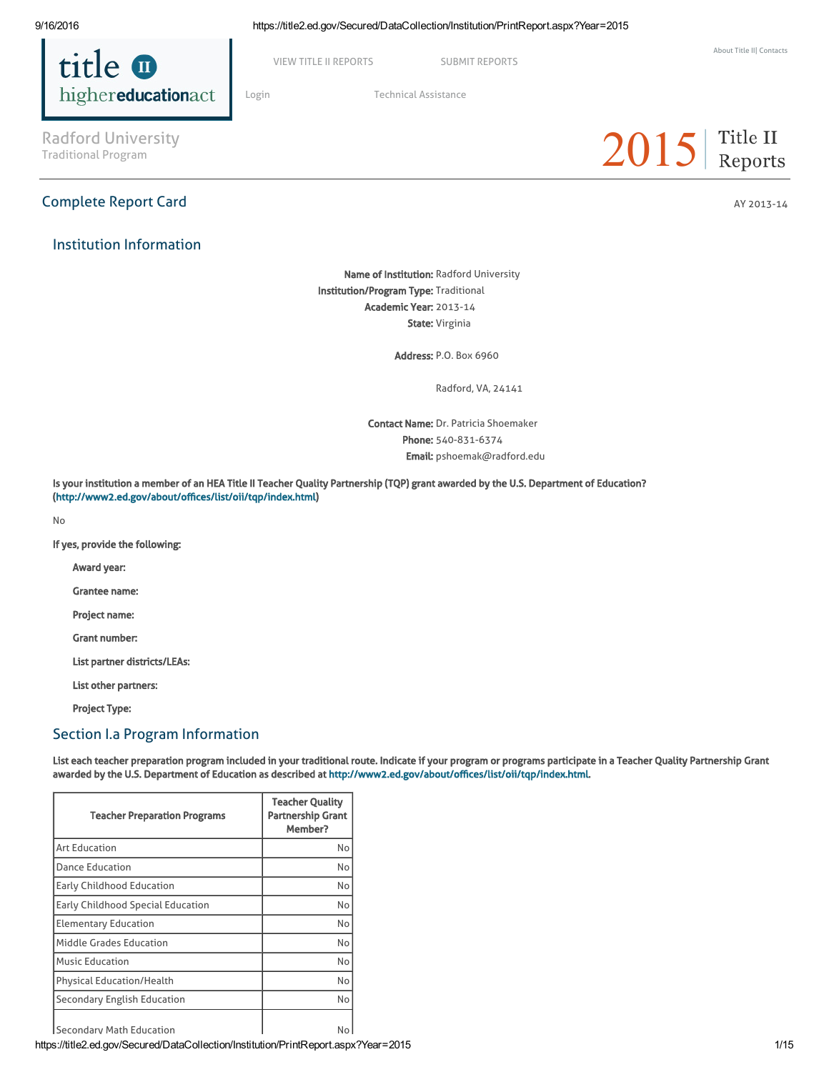

VIEW TITLE II [REPORTS](https://title2.ed.gov/Public/Login.aspx) SUBMIT REPORTS

[Login](https://title2.ed.gov/Public/Login.aspx) Technical [Assistance](https://title2.ed.gov/Public/TA.aspx)

 $2015$  Title II

Radford University<br>Traditional Program

# Complete Report Card AY 2013-14

Institution Information

Name of Institution: Radford University Institution/Program Type: Traditional Academic Year: 2013-14 State: Virginia

Address: P.O. Box 6960

Radford, VA, 24141

Contact Name: Dr. Patricia Shoemaker Phone: 540-831-6374 Email: pshoemak@radford.edu

Is your institution a member of an HEA Title II Teacher Quality Partnership (TQP) grant awarded by the U.S. Department of Education? (<http://www2.ed.gov/about/offices/list/oii/tqp/index.html>)

No

If yes, provide the following:

Award year:

Grantee name:

Project name:

Grant number:

List partner districts/LEAs:

List other partners:

Project Type:

# Section I.a Program Information

List each teacher preparation program included in your traditional route. Indicate if your program or programs participate in a Teacher Quality Partnership Grant awarded by the U.S. Department of Education as described at [http://www2.ed.gov/about/offices/list/oii/tqp/index.html.](http://www2.ed.gov/about/offices/list/oii/tqp/index.html)

| <b>Teacher Preparation Programs</b> | <b>Teacher Quality</b><br><b>Partnership Grant</b><br>Member? |
|-------------------------------------|---------------------------------------------------------------|
| <b>Art Education</b>                | No                                                            |
| Dance Education                     | No                                                            |
| Early Childhood Education           | No                                                            |
| Early Childhood Special Education   | No                                                            |
| <b>Elementary Education</b>         | No                                                            |
| Middle Grades Education             | No                                                            |
| <b>Music Education</b>              | No                                                            |
| <b>Physical Education/Health</b>    | No                                                            |
| Secondary English Education         | No                                                            |
| Secondary Math Education            | No                                                            |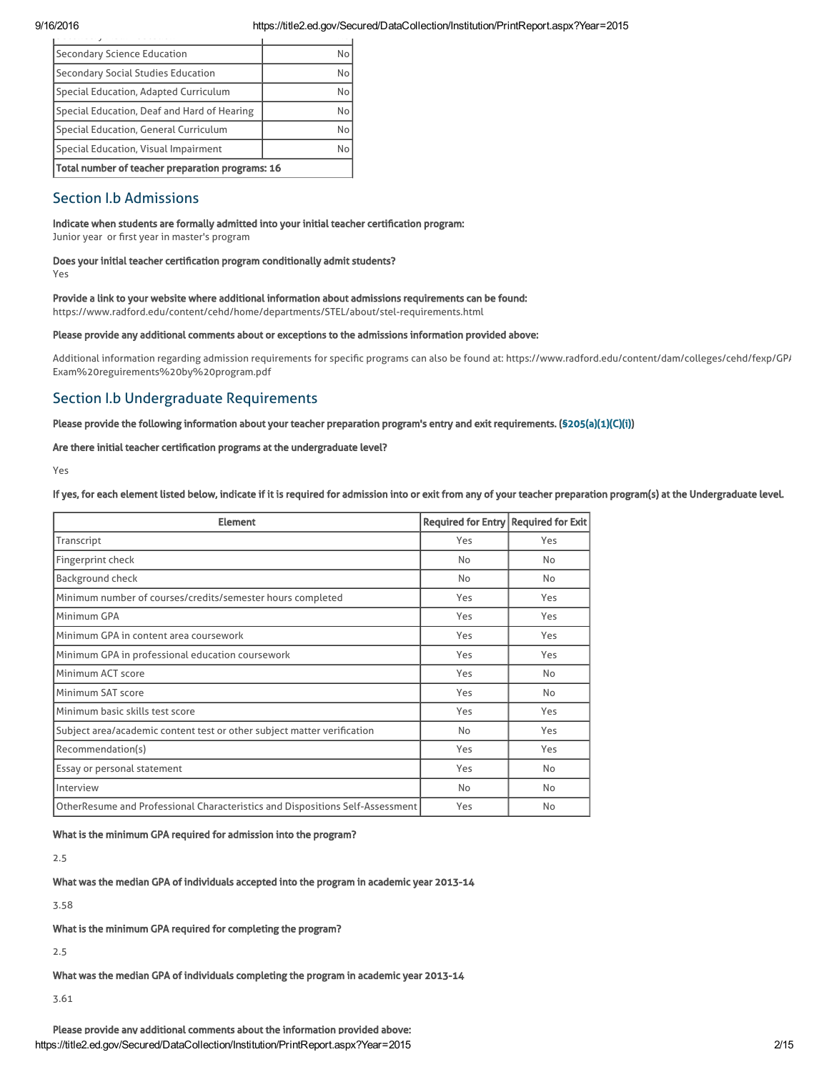| Secondary Science Education                      | No |
|--------------------------------------------------|----|
| Secondary Social Studies Education               | No |
| Special Education, Adapted Curriculum            | No |
| Special Education, Deaf and Hard of Hearing      | No |
| Special Education, General Curriculum            | No |
| Special Education, Visual Impairment             | No |
| Total number of teacher preparation programs: 16 |    |

# Section I.b Admissions

# Indicate when students are formally admitted into your initial teacher certification program:

Junior year or first year in master's program

# Does your initial teacher certification program conditionally admit students?

Yes

# Provide a link to your website where additional information about admissions requirements can be found:

https://www.radford.edu/content/cehd/home/departments/STEL/about/stel-requirements.html

## Please provide any additional comments about or exceptions to the admissions information provided above:

Additional information regarding admission requirements for specific programs can also be found at: https://www.radford.edu/content/dam/colleges/cehd/fexp/GP/ Exam%20reguirements%20by%20program.pdf

# Section I.b Undergraduate Requirements

# Please provide the following information about your teacher preparation program's entry and exit requirements. [\(§205\(a\)\(1\)\(C\)\(i\)](http://frwebgate.access.gpo.gov/cgi-bin/getdoc.cgi?dbname=110_cong_public_laws&docid=f:publ315.110.pdf))

# Are there initial teacher certification programs at the undergraduate level?

Yes

If yes, for each element listed below, indicate if it is required for admission into or exit from any of your teacher preparation program(s) at the Undergraduate level.

| <b>Element</b>                                                                | Required for Entry Required for Exit |     |
|-------------------------------------------------------------------------------|--------------------------------------|-----|
| Transcript                                                                    | Yes                                  | Yes |
| Fingerprint check                                                             | <b>No</b>                            | No  |
| Background check                                                              | No                                   | No  |
| Minimum number of courses/credits/semester hours completed                    | Yes                                  | Yes |
| Minimum GPA                                                                   | Yes                                  | Yes |
| Minimum GPA in content area coursework                                        | Yes                                  | Yes |
| Minimum GPA in professional education coursework                              | Yes                                  | Yes |
| Minimum ACT score                                                             | Yes                                  | No  |
| Minimum SAT score                                                             | Yes                                  | No  |
| Minimum basic skills test score                                               | Yes                                  | Yes |
| Subject area/academic content test or other subject matter verification       | No                                   | Yes |
| Recommendation(s)                                                             | Yes                                  | Yes |
| Essay or personal statement                                                   | Yes                                  | No  |
| Interview                                                                     | No                                   | No  |
| OtherResume and Professional Characteristics and Dispositions Self-Assessment | Yes                                  | No  |

What is the minimum GPA required for admission into the program?

2.5

What was the median GPA of individuals accepted into the program in academic year 2013-14

3.58

What is the minimum GPA required for completing the program?

2.5

What was the median GPA of individuals completing the program in academic year 2013-14

3.61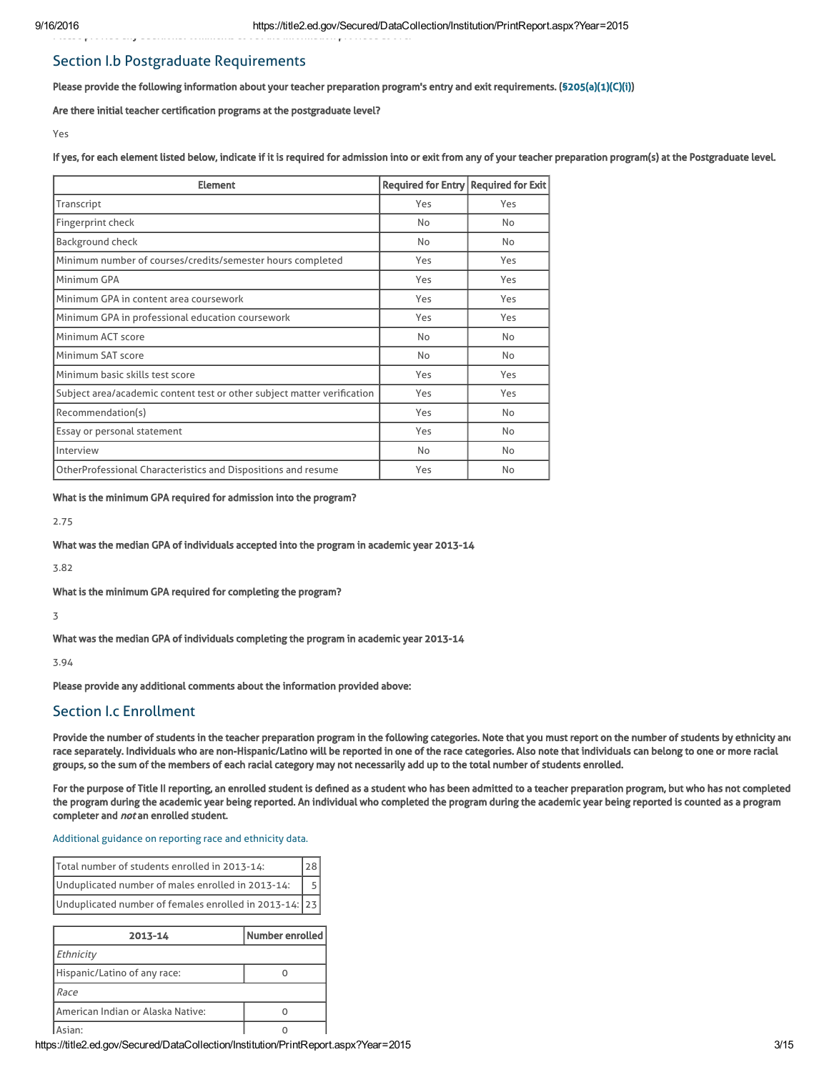# Section I.b Postgraduate Requirements

Please provide the following information about your teacher preparation program's entry and exit requirements. [\(§205\(a\)\(1\)\(C\)\(i\)](http://frwebgate.access.gpo.gov/cgi-bin/getdoc.cgi?dbname=110_cong_public_laws&docid=f:publ315.110.pdf))

Are there initial teacher certification programs at the postgraduate level?

Please provide any additional comments about the information provided above:

Yes

If yes, for each element listed below, indicate if it is required for admission into or exit from any of your teacher preparation program(s) at the Postgraduate level.

| <b>Element</b>                                                          | <b>Required for Entry</b> | <b>Required for Exit</b> |
|-------------------------------------------------------------------------|---------------------------|--------------------------|
| Transcript                                                              | Yes                       | Yes                      |
| Fingerprint check                                                       | No                        | No                       |
| <b>Background check</b>                                                 | No                        | No                       |
| Minimum number of courses/credits/semester hours completed              | Yes                       | Yes                      |
| Minimum GPA                                                             | Yes                       | Yes                      |
| Minimum GPA in content area coursework                                  | Yes                       | Yes                      |
| Minimum GPA in professional education coursework                        | Yes                       | Yes                      |
| Minimum ACT score                                                       | No                        | No                       |
| Minimum SAT score                                                       | No                        | No                       |
| Minimum basic skills test score                                         | Yes                       | Yes                      |
| Subject area/academic content test or other subject matter verification | Yes                       | Yes                      |
| Recommendation(s)                                                       | Yes                       | No                       |
| Essay or personal statement                                             | Yes                       | No                       |
| Interview                                                               | No                        | No                       |
| OtherProfessional Characteristics and Dispositions and resume           | Yes                       | No                       |

What is the minimum GPA required for admission into the program?

2.75

What was the median GPA of individuals accepted into the program in academic year 2013-14

3.82

What is the minimum GPA required for completing the program?

3

What was the median GPA of individuals completing the program in academic year 2013-14

3.94

Please provide any additional comments about the information provided above:

# Section I.c Enrollment

Provide the number of students in the teacher preparation program in the following categories. Note that you must report on the number of students by ethnicity and race separately. Individuals who are non-Hispanic/Latino will be reported in one of the race categories. Also note that individuals can belong to one or more racial groups, so the sum of the members of each racial category may not necessarily add up to the total number of students enrolled.

For the purpose of Title II reporting, an enrolled student is defined as a student who has been admitted to a teacher preparation program, but who has not completed the program during the academic year being reported. An individual who completed the program during the academic year being reported is counted as a program completer and *not* an enrolled student.

[Additional](https://title2.ed.gov/Public/TA/Race_ethnicity.pdf) guidance on reporting race and ethnicity data.

| Total number of students enrolled in 2013-14:          |  |
|--------------------------------------------------------|--|
| Unduplicated number of males enrolled in 2013-14:      |  |
| Unduplicated number of females enrolled in 2013-14: 23 |  |

| 2013-14                           | Number enrolled |
|-----------------------------------|-----------------|
| Ethnicity                         |                 |
| Hispanic/Latino of any race:      |                 |
| Race                              |                 |
| American Indian or Alaska Native: |                 |
| sian <sup>.</sup>                 |                 |

https://title2.ed.gov/Secured/DataCollection/Institution/PrintReport.aspx?Year=2015 3/15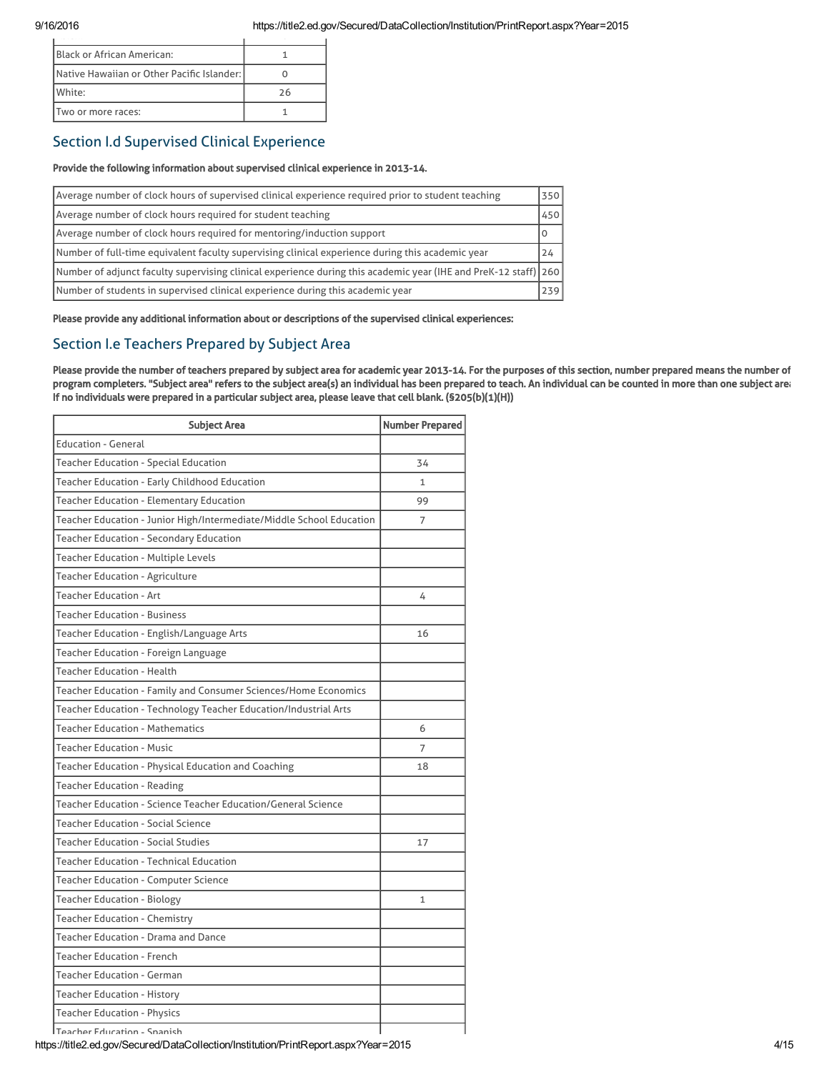| <b>IBlack or African American:</b>         |    |
|--------------------------------------------|----|
| Native Hawaiian or Other Pacific Islander: |    |
| White:                                     | 26 |
| Two or more races:                         |    |

# Section I.d Supervised Clinical Experience

# Provide the following information about supervised clinical experience in 2013-14.

| Average number of clock hours of supervised clinical experience required prior to student teaching                | 350 |
|-------------------------------------------------------------------------------------------------------------------|-----|
| Average number of clock hours required for student teaching                                                       | 450 |
| Average number of clock hours required for mentoring/induction support                                            | 0   |
| Number of full-time equivalent faculty supervising clinical experience during this academic year                  | 24  |
| Number of adjunct faculty supervising clinical experience during this academic year (IHE and PreK-12 staff)   260 |     |
| Number of students in supervised clinical experience during this academic year                                    | 239 |

Please provide any additional information about or descriptions of the supervised clinical experiences:

# Section I.e Teachers Prepared by Subject Area

Please provide the number of teachers prepared by subject area for academic year 2013-14. For the purposes of this section, number prepared means the number of program completers. "Subject area" refers to the subject area(s) an individual has been prepared to teach. An individual can be counted in more than one subject area. If no individuals were prepared in a particular subject area, please leave that cell blank. (§205(b)(1)(H))

| <b>Subject Area</b>                                                  | <b>Number Prepared</b> |
|----------------------------------------------------------------------|------------------------|
| <b>Education - General</b>                                           |                        |
| <b>Teacher Education - Special Education</b>                         | 34                     |
| Teacher Education - Early Childhood Education                        | 1                      |
| <b>Teacher Education - Elementary Education</b>                      | 99                     |
| Teacher Education - Junior High/Intermediate/Middle School Education | 7                      |
| <b>Teacher Education - Secondary Education</b>                       |                        |
| Teacher Education - Multiple Levels                                  |                        |
| <b>Teacher Education - Agriculture</b>                               |                        |
| <b>Teacher Education - Art</b>                                       | 4                      |
| Teacher Education - Business                                         |                        |
| Teacher Education - English/Language Arts                            | 16                     |
| Teacher Education - Foreign Language                                 |                        |
| Teacher Education - Health                                           |                        |
| Teacher Education - Family and Consumer Sciences/Home Economics      |                        |
| Teacher Education - Technology Teacher Education/Industrial Arts     |                        |
| <b>Teacher Education - Mathematics</b>                               | 6                      |
| <b>Teacher Education - Music</b>                                     | 7                      |
| Teacher Education - Physical Education and Coaching                  | 18                     |
| Teacher Education - Reading                                          |                        |
| Teacher Education - Science Teacher Education/General Science        |                        |
| <b>Teacher Education - Social Science</b>                            |                        |
| <b>Teacher Education - Social Studies</b>                            | 17                     |
| Teacher Education - Technical Education                              |                        |
| <b>Teacher Education - Computer Science</b>                          |                        |
| Teacher Education - Biology                                          | $\mathbf{1}$           |
| Teacher Education - Chemistry                                        |                        |
| Teacher Education - Drama and Dance                                  |                        |
| <b>Teacher Education - French</b>                                    |                        |
| <b>Teacher Education - German</b>                                    |                        |
| Teacher Education - History                                          |                        |
| <b>Teacher Education - Physics</b>                                   |                        |
|                                                                      |                        |

Teacher Education - Spanish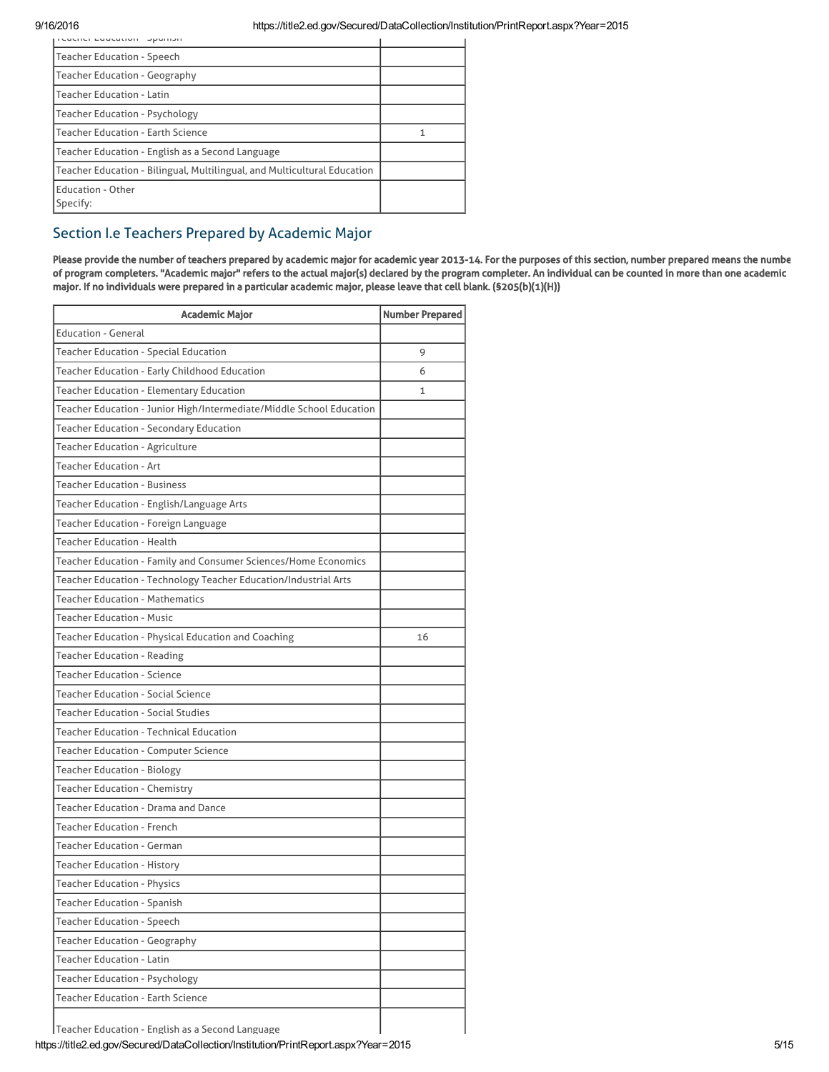| reacher Education Spanish                                                |   |
|--------------------------------------------------------------------------|---|
| <b>Teacher Education - Speech</b>                                        |   |
| <b>Teacher Education - Geography</b>                                     |   |
| <b>Teacher Education - Latin</b>                                         |   |
| <b>Teacher Education - Psychology</b>                                    |   |
| <b>Teacher Education - Earth Science</b>                                 | 1 |
| Teacher Education - English as a Second Language                         |   |
| Teacher Education - Bilingual, Multilingual, and Multicultural Education |   |
| <b>Education - Other</b><br>Specify:                                     |   |

# Section I.e Teachers Prepared by Academic Major

Please provide the number of teachers prepared by academic major for academic year 2013-14. For the purposes of this section, number prepared means the numbe of program completers. "Academic major" refers to the actual major(s) declared by the program completer. An individual can be counted in more than one academic major. If no individuals were prepared in a particular academic major, please leave that cell blank. (§205(b)(1)(H))

| <b>Academic Major</b>                                                | <b>Number Prepared</b> |
|----------------------------------------------------------------------|------------------------|
| <b>Education - General</b>                                           |                        |
| Teacher Education - Special Education                                | 9                      |
| Teacher Education - Early Childhood Education                        | 6                      |
| Teacher Education - Elementary Education                             | 1                      |
| Teacher Education - Junior High/Intermediate/Middle School Education |                        |
| Teacher Education - Secondary Education                              |                        |
| Teacher Education - Agriculture                                      |                        |
| <b>Teacher Education - Art</b>                                       |                        |
| <b>Teacher Education - Business</b>                                  |                        |
| Teacher Education - English/Language Arts                            |                        |
| Teacher Education - Foreign Language                                 |                        |
| <b>Teacher Education - Health</b>                                    |                        |
| Teacher Education - Family and Consumer Sciences/Home Economics      |                        |
| Teacher Education - Technology Teacher Education/Industrial Arts     |                        |
| <b>Teacher Education - Mathematics</b>                               |                        |
| <b>Teacher Education - Music</b>                                     |                        |
| Teacher Education - Physical Education and Coaching                  | 16                     |
| Teacher Education - Reading                                          |                        |
| <b>Teacher Education - Science</b>                                   |                        |
| Teacher Education - Social Science                                   |                        |
| <b>Teacher Education - Social Studies</b>                            |                        |
| <b>Teacher Education - Technical Education</b>                       |                        |
| Teacher Education - Computer Science                                 |                        |
| <b>Teacher Education - Biology</b>                                   |                        |
| Teacher Education - Chemistry                                        |                        |
| Teacher Education - Drama and Dance                                  |                        |
| <b>Teacher Education - French</b>                                    |                        |
| <b>Teacher Education - German</b>                                    |                        |
| Teacher Education - History                                          |                        |
| <b>Teacher Education - Physics</b>                                   |                        |
| <b>Teacher Education - Spanish</b>                                   |                        |
| <b>Teacher Education - Speech</b>                                    |                        |
| <b>Teacher Education - Geography</b>                                 |                        |
| <b>Teacher Education - Latin</b>                                     |                        |
| <b>Teacher Education - Psychology</b>                                |                        |
| <b>Teacher Education - Earth Science</b>                             |                        |
| Teacher Education - English as a Second Language                     |                        |

https://title2.ed.gov/Secured/DataCollection/Institution/PrintReport.aspx?Year=2015 5/15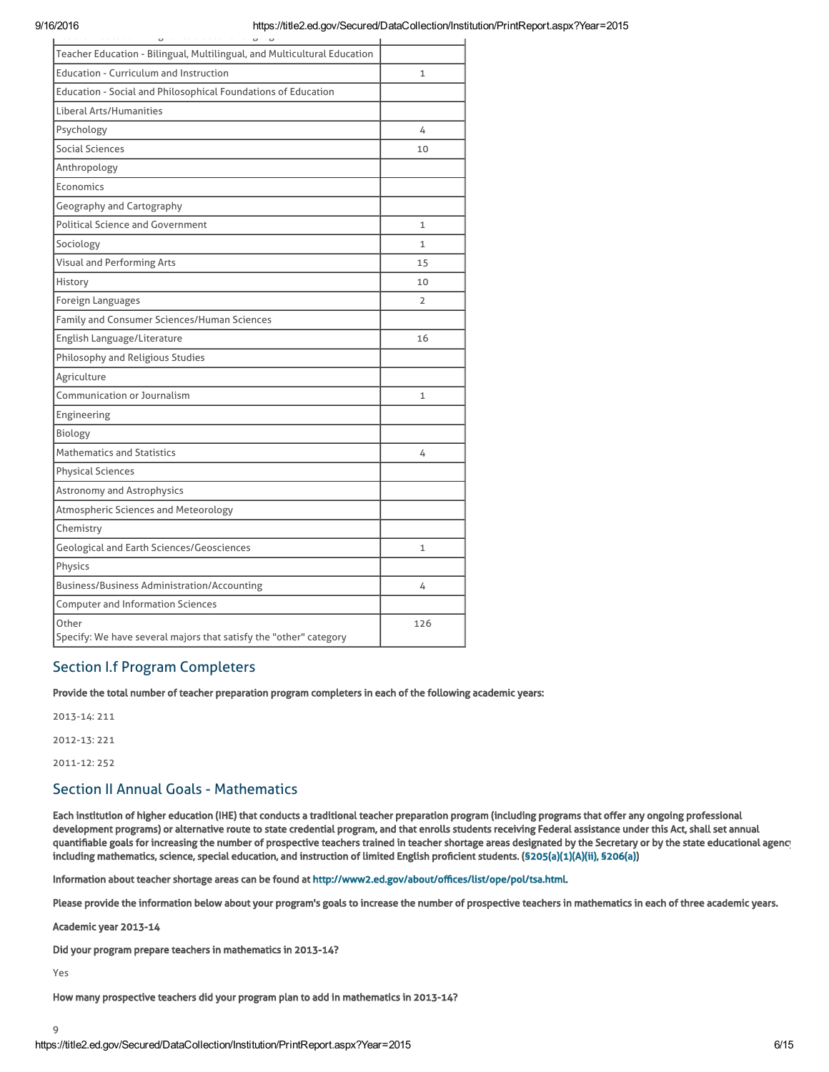| $\overline{\phantom{0}}$<br>$\overline{\phantom{0}}$<br>$\overline{\phantom{0}}$ |              |
|----------------------------------------------------------------------------------|--------------|
| Teacher Education - Bilingual, Multilingual, and Multicultural Education         |              |
| <b>Education - Curriculum and Instruction</b>                                    | $\mathbf{1}$ |
| Education - Social and Philosophical Foundations of Education                    |              |
| Liberal Arts/Humanities                                                          |              |
| Psychology                                                                       | 4            |
| Social Sciences                                                                  | 10           |
| Anthropology                                                                     |              |
| <b>Economics</b>                                                                 |              |
| Geography and Cartography                                                        |              |
| <b>Political Science and Government</b>                                          | $\mathbf{1}$ |
| Sociology                                                                        | $\mathbf{1}$ |
| Visual and Performing Arts                                                       | 15           |
| History                                                                          | 10           |
| Foreign Languages                                                                | 2            |
| Family and Consumer Sciences/Human Sciences                                      |              |
| English Language/Literature                                                      | 16           |
| Philosophy and Religious Studies                                                 |              |
| Agriculture                                                                      |              |
| Communication or Journalism                                                      | $\mathbf{1}$ |
| Engineering                                                                      |              |
| Biology                                                                          |              |
| <b>Mathematics and Statistics</b>                                                | 4            |
| <b>Physical Sciences</b>                                                         |              |
| Astronomy and Astrophysics                                                       |              |
| Atmospheric Sciences and Meteorology                                             |              |
| Chemistry                                                                        |              |
| Geological and Earth Sciences/Geosciences                                        | $\mathbf{1}$ |
| Physics                                                                          |              |
| Business/Business Administration/Accounting                                      | 4            |
| <b>Computer and Information Sciences</b>                                         |              |
| Other<br>Specify: We have several majors that satisfy the "other" category       | 126          |

# Section I.f Program Completers

Provide the total number of teacher preparation program completers in each of the following academic years:

2013-14: 211 2012-13: 221

2011-12: 252

# Section II Annual Goals - Mathematics

Each institution of higher education (IHE) that conducts a traditional teacher preparation program (including programs that offer any ongoing professional development programs) or alternative route to state credential program, and that enrolls students receiving Federal assistance under this Act, shall set annual quantifiable goals for increasing the number of prospective teachers trained in teacher shortage areas designated by the Secretary or by the state educational agency including mathematics, science, special education, and instruction of limited English proficient students. ([§205\(a\)\(1\)\(A\)\(ii\), §206\(a\)\)](http://frwebgate.access.gpo.gov/cgi-bin/getdoc.cgi?dbname=110_cong_public_laws&docid=f:publ315.110.pdf)

Information about teacher shortage areas can be found at [http://www2.ed.gov/about/offices/list/ope/pol/tsa.html.](http://www2.ed.gov/about/offices/list/ope/pol/tsa.html)

Please provide the information below about your program's goals to increase the number of prospective teachers in mathematics in each of three academic years.

Academic year 2013-14

Did your program prepare teachers in mathematics in 2013-14?

Yes

9

How many prospective teachers did your program plan to add in mathematics in 2013-14?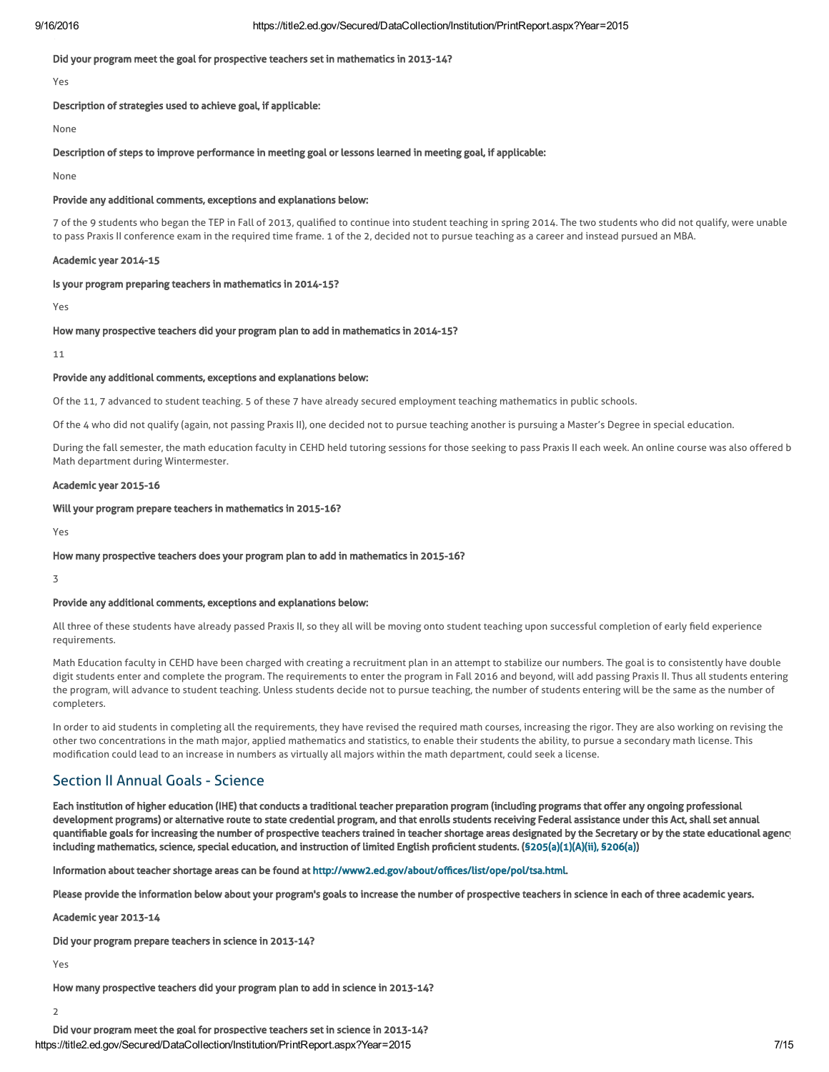## Did your program meet the goal for prospective teachers set in mathematics in 2013-14?

Yes

## Description of strategies used to achieve goal, if applicable:

None

#### Description of steps to improve performance in meeting goal or lessons learned in meeting goal, if applicable:

None

## Provide any additional comments, exceptions and explanations below:

7 of the 9 students who began the TEP in Fall of 2013, qualified to continue into student teaching in spring 2014. The two students who did not qualify, were unable to pass Praxis II conference exam in the required time frame. 1 of the 2, decided not to pursue teaching as a career and instead pursued an MBA.

### Academic year 2014-15

#### Is your program preparing teachers in mathematics in 2014-15?

Yes

#### How many prospective teachers did your program plan to add in mathematics in 2014-15?

11

## Provide any additional comments, exceptions and explanations below:

Of the 11, 7 advanced to student teaching. 5 of these 7 have already secured employment teaching mathematics in public schools.

Of the 4 who did not qualify (again, not passing Praxis II), one decided not to pursue teaching another is pursuing a Master's Degree in special education.

During the fall semester, the math education faculty in CEHD held tutoring sessions for those seeking to pass Praxis II each week. An online course was also offered b Math department during Wintermester.

### Academic year 2015-16

## Will your program prepare teachers in mathematics in 2015-16?

Yes

## How many prospective teachers does your program plan to add in mathematics in 2015-16?

3

# Provide any additional comments, exceptions and explanations below:

All three of these students have already passed Praxis II, so they all will be moving onto student teaching upon successful completion of early field experience requirements.

Math Education faculty in CEHD have been charged with creating a recruitment plan in an attempt to stabilize our numbers. The goal is to consistently have double digit students enter and complete the program. The requirements to enter the program in Fall 2016 and beyond, will add passing Praxis II. Thus all students entering the program, will advance to student teaching. Unless students decide not to pursue teaching, the number of students entering will be the same as the number of completers.

In order to aid students in completing all the requirements, they have revised the required math courses, increasing the rigor. They are also working on revising the other two concentrations in the math major, applied mathematics and statistics, to enable their students the ability, to pursue a secondary math license. This modification could lead to an increase in numbers as virtually all majors within the math department, could seek a license.

# Section II Annual Goals - Science

Each institution of higher education (IHE) that conducts a traditional teacher preparation program (including programs that offer any ongoing professional development programs) or alternative route to state credential program, and that enrolls students receiving Federal assistance under this Act, shall set annual quantifiable goals for increasing the number of prospective teachers trained in teacher shortage areas designated by the Secretary or by the state educational agency including mathematics, science, special education, and instruction of limited English proficient students. ([§205\(a\)\(1\)\(A\)\(ii\), §206\(a\)\)](http://frwebgate.access.gpo.gov/cgi-bin/getdoc.cgi?dbname=110_cong_public_laws&docid=f:publ315.110.pdf)

Information about teacher shortage areas can be found at [http://www2.ed.gov/about/offices/list/ope/pol/tsa.html.](http://www2.ed.gov/about/offices/list/ope/pol/tsa.html)

Please provide the information below about your program's goals to increase the number of prospective teachers in science in each of three academic years.

Academic year 2013-14

Did your program prepare teachers in science in 2013-14?

Yes

How many prospective teachers did your program plan to add in science in 2013-14?

2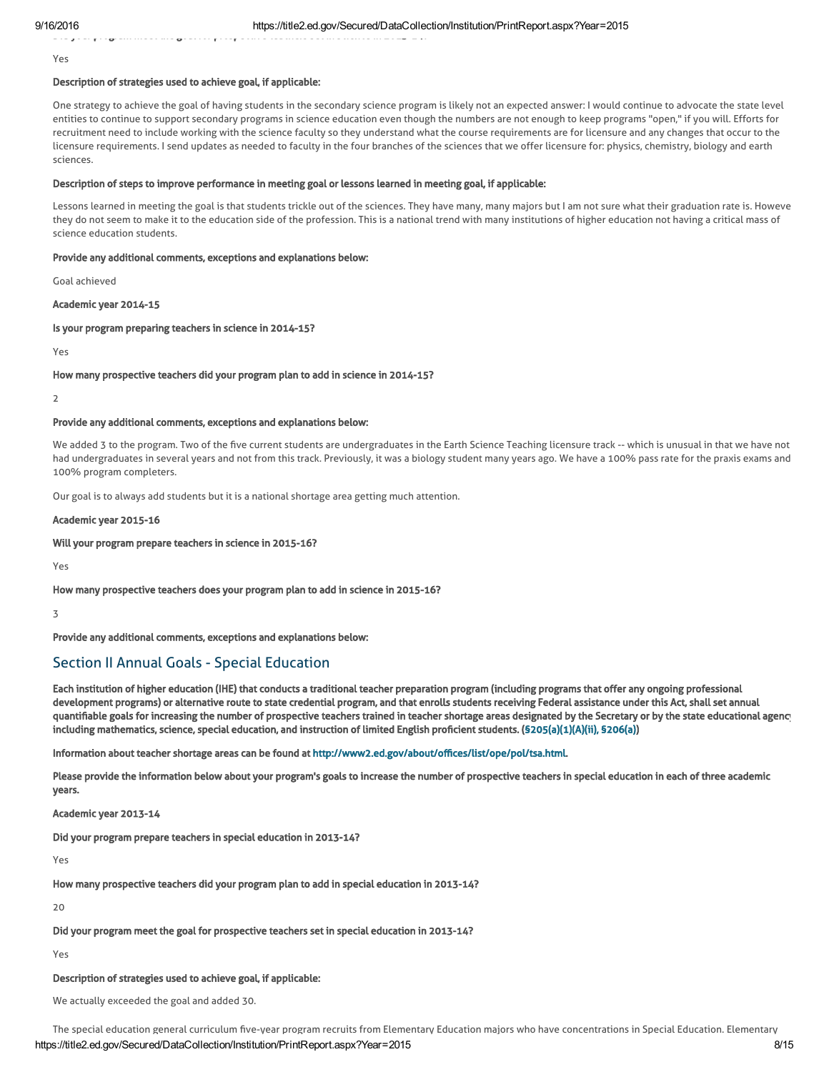Did your program meet the goal for prospective teachers set in science in 2013-14?

Yes

# Description of strategies used to achieve goal, if applicable:

One strategy to achieve the goal of having students in the secondary science program is likely not an expected answer: I would continue to advocate the state level entities to continue to support secondary programs in science education even though the numbers are not enough to keep programs "open," if you will. Efforts for recruitment need to include working with the science faculty so they understand what the course requirements are for licensure and any changes that occur to the licensure requirements. I send updates as needed to faculty in the four branches of the sciences that we offer licensure for: physics, chemistry, biology and earth sciences.

#### Description of steps to improve performance in meeting goal or lessons learned in meeting goal, if applicable:

Lessons learned in meeting the goal is that students trickle out of the sciences. They have many, many majors but I am not sure what their graduation rate is. Howeve they do not seem to make it to the education side of the profession. This is a national trend with many institutions of higher education not having a critical mass of science education students.

## Provide any additional comments, exceptions and explanations below:

Goal achieved

## Academic year 2014-15

### Is your program preparing teachers in science in 2014-15?

Yes

### How many prospective teachers did your program plan to add in science in 2014-15?

 $\overline{2}$ 

# Provide any additional comments, exceptions and explanations below:

We added 3 to the program. Two of the five current students are undergraduates in the Earth Science Teaching licensure track -- which is unusual in that we have not had undergraduates in several years and not from this track. Previously, it was a biology student many years ago. We have a 100% pass rate for the praxis exams and 100% program completers.

Our goal is to always add students but it is a national shortage area getting much attention.

#### Academic year 2015-16

## Will your program prepare teachers in science in 2015-16?

Yes

### How many prospective teachers does your program plan to add in science in 2015-16?

3

Provide any additional comments, exceptions and explanations below:

# Section II Annual Goals - Special Education

Each institution of higher education (IHE) that conducts a traditional teacher preparation program (including programs that offer any ongoing professional development programs) or alternative route to state credential program, and that enrolls students receiving Federal assistance under this Act, shall set annual quantifiable goals for increasing the number of prospective teachers trained in teacher shortage areas designated by the Secretary or by the state educational agency including mathematics, science, special education, and instruction of limited English proficient students. ([§205\(a\)\(1\)\(A\)\(ii\), §206\(a\)\)](http://frwebgate.access.gpo.gov/cgi-bin/getdoc.cgi?dbname=110_cong_public_laws&docid=f:publ315.110.pdf)

Information about teacher shortage areas can be found at [http://www2.ed.gov/about/offices/list/ope/pol/tsa.html.](http://www2.ed.gov/about/offices/list/ope/pol/tsa.html)

Please provide the information below about your program's goals to increase the number of prospective teachers in special education in each of three academic years.

Academic year 2013-14

Did your program prepare teachers in special education in 2013-14?

Yes

How many prospective teachers did your program plan to add in special education in 2013-14?

20

Did your program meet the goal for prospective teachers set in special education in 2013-14?

Yes

### Description of strategies used to achieve goal, if applicable:

We actually exceeded the goal and added 30.

https://title2.ed.gov/Secured/DataCollection/Institution/PrintReport.aspx?Year=2015 8/15 The special education general curriculum five-year program recruits from Elementary Education majors who have concentrations in Special Education. Elementary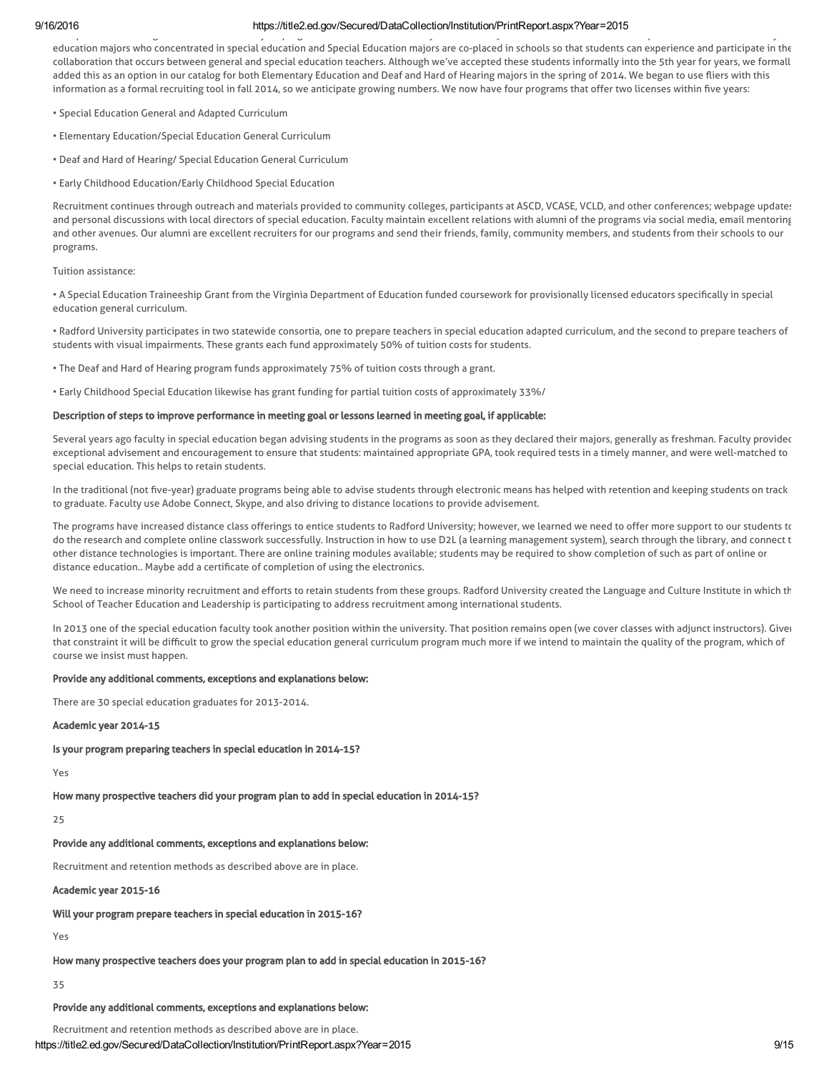The special education general curriculum five-year program recruits from Elementary Education majors who have concentrations in Special Education. Elementary education majors who concentrated in special education and Special Education majors are co-placed in schools so that students can experience and participate in the collaboration that occurs between general and special education teachers. Although we've accepted these students informally into the 5th year for years, we formally added this as an option in our catalog for both Elementary Education and Deaf and Hard of Hearing majors in the spring of 2014. We began to use fliers with this information as a formal recruiting tool in fall 2014, so we anticipate growing numbers. We now have four programs that offer two licenses within five years:

- Special Education General and Adapted Curriculum
- Elementary Education/Special Education General Curriculum
- Deaf and Hard of Hearing/ Special Education General Curriculum
- Early Childhood Education/Early Childhood Special Education

Recruitment continues through outreach and materials provided to community colleges, participants at ASCD, VCASE, VCLD, and other conferences; webpage updates; and personal discussions with local directors of special education. Faculty maintain excellent relations with alumni of the programs via social media, email mentoring, and other avenues. Our alumni are excellent recruiters for our programs and send their friends, family, community members, and students from their schools to our programs.

Tuition assistance:

• A Special Education Traineeship Grant from the Virginia Department of Education funded coursework for provisionally licensed educators specifically in special education general curriculum.

• Radford University participates in two statewide consortia, one to prepare teachers in special education adapted curriculum, and the second to prepare teachers of students with visual impairments. These grants each fund approximately 50% of tuition costs for students.

• The Deaf and Hard of Hearing program funds approximately 75% of tuition costs through a grant.

• Early Childhood Special Education likewise has grant funding for partial tuition costs of approximately 33%/

### Description of steps to improve performance in meeting goal or lessons learned in meeting goal, if applicable:

Several years ago faculty in special education began advising students in the programs as soon as they declared their majors, generally as freshman. Faculty provided exceptional advisement and encouragement to ensure that students: maintained appropriate GPA, took required tests in a timely manner, and were well-matched to special education. This helps to retain students.

In the traditional (not five-year) graduate programs being able to advise students through electronic means has helped with retention and keeping students on track to graduate. Faculty use Adobe Connect, Skype, and also driving to distance locations to provide advisement.

The programs have increased distance class offerings to entice students to Radford University; however, we learned we need to offer more support to our students to do the research and complete online classwork successfully. Instruction in how to use D2L (a learning management system), search through the library, and connect t other distance technologies is important. There are online training modules available; students may be required to show completion of such as part of online or distance education.. Maybe add a certificate of completion of using the electronics.

We need to increase minority recruitment and efforts to retain students from these groups. Radford University created the Language and Culture Institute in which th School of Teacher Education and Leadership is participating to address recruitment among international students.

In 2013 one of the special education faculty took another position within the university. That position remains open (we cover classes with adjunct instructors). Given that constraint it will be difficult to grow the special education general curriculum program much more if we intend to maintain the quality of the program, which of course we insist must happen.

### Provide any additional comments, exceptions and explanations below:

There are 30 special education graduates for 2013-2014.

## Academic year 2014-15

Is your program preparing teachers in special education in 2014-15?

Yes

How many prospective teachers did your program plan to add in special education in 2014-15?

25

### Provide any additional comments, exceptions and explanations below:

Recruitment and retention methods as described above are in place.

Academic year 2015-16

Will your program prepare teachers in special education in 2015-16?

Yes

How many prospective teachers does your program plan to add in special education in 2015-16?

35

# Provide any additional comments, exceptions and explanations below:

https://title2.ed.gov/Secured/DataCollection/Institution/PrintReport.aspx?Year=2015 9/15 Recruitment and retention methods as described above are in place.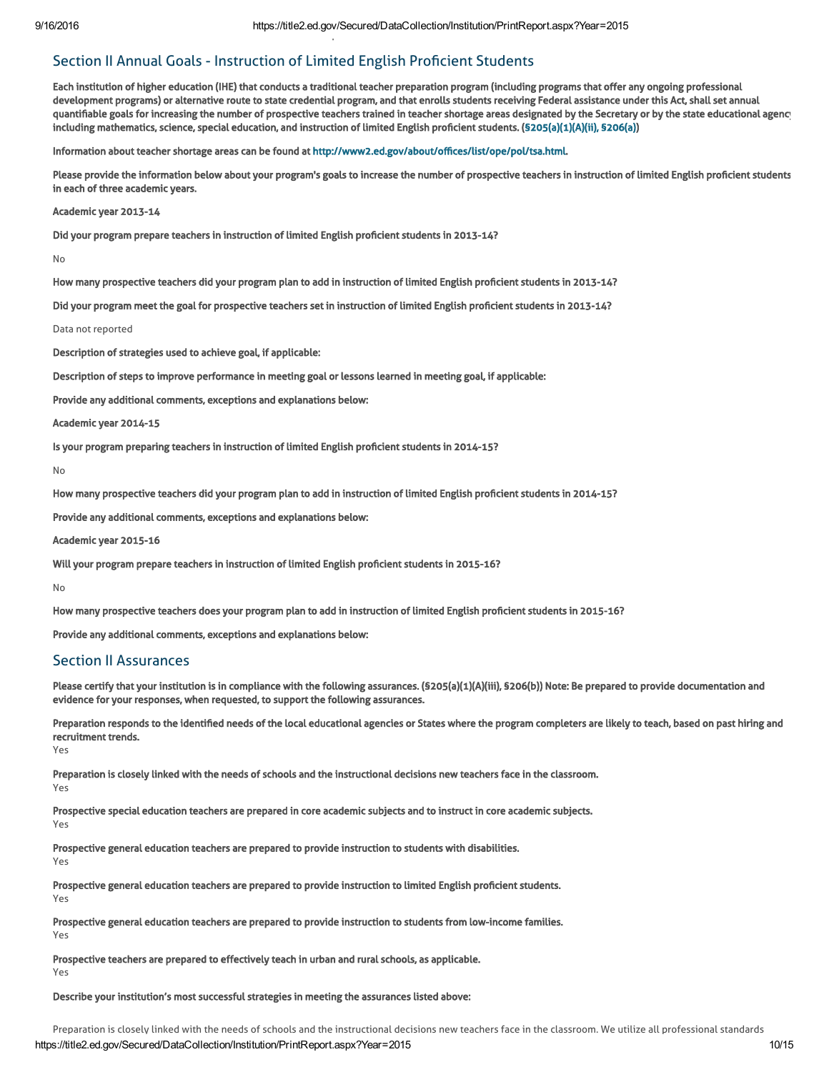# Section II Annual Goals - Instruction of Limited English Proficient Students

Each institution of higher education (IHE) that conducts a traditional teacher preparation program (including programs that offer any ongoing professional development programs) or alternative route to state credential program, and that enrolls students receiving Federal assistance under this Act, shall set annual quantifiable goals for increasing the number of prospective teachers trained in teacher shortage areas designated by the Secretary or by the state educational agency including mathematics, science, special education, and instruction of limited English proficient students. ([§205\(a\)\(1\)\(A\)\(ii\), §206\(a\)\)](http://frwebgate.access.gpo.gov/cgi-bin/getdoc.cgi?dbname=110_cong_public_laws&docid=f:publ315.110.pdf)

Information about teacher shortage areas can be found at [http://www2.ed.gov/about/offices/list/ope/pol/tsa.html.](http://www2.ed.gov/about/offices/list/ope/pol/tsa.html)

Please provide the information below about your program's goals to increase the number of prospective teachers in instruction of limited English proficient students in each of three academic years.

#### Academic year 2013-14

Did your program prepare teachers in instruction of limited English proficient students in 2013-14?

No

How many prospective teachers did your program plan to add in instruction of limited English proficient students in 2013-14?

Did your program meet the goal for prospective teachers set in instruction of limited English proficient students in 2013-14?

#### Data not reported

Description of strategies used to achieve goal, if applicable:

Description of steps to improve performance in meeting goal or lessons learned in meeting goal, if applicable:

Provide any additional comments, exceptions and explanations below:

Recruitment and retention methods as described above are in place.

Academic year 2014-15

Is your program preparing teachers in instruction of limited English proficient students in 2014-15?

No

How many prospective teachers did your program plan to add in instruction of limited English proficient students in 2014-15?

Provide any additional comments, exceptions and explanations below:

Academic year 2015-16

Will your program prepare teachers in instruction of limited English proficient students in 2015-16?

No

How many prospective teachers does your program plan to add in instruction of limited English proficient students in 2015-16?

Provide any additional comments, exceptions and explanations below:

# Section II Assurances

Please certify that your institution is in compliance with the following assurances. (§205(a)(1)(A)(iii), §206(b)) Note: Be prepared to provide documentation and evidence for your responses, when requested, to support the following assurances.

Preparation responds to the identified needs of the local educational agencies or States where the program completers are likely to teach, based on past hiring and recruitment trends. Yes

Preparation is closely linked with the needs of schools and the instructional decisions new teachers face in the classroom. Yes

Prospective special education teachers are prepared in core academic subjects and to instruct in core academic subjects. Yes

Prospective general education teachers are prepared to provide instruction to students with disabilities.

Yes

Prospective general education teachers are prepared to provide instruction to limited English proficient students.

Yes

Prospective general education teachers are prepared to provide instruction to students from low-income families. Yes

Prospective teachers are prepared to effectively teach in urban and rural schools, as applicable. Yes

# Describe your institution's most successful strategies in meeting the assurances listed above: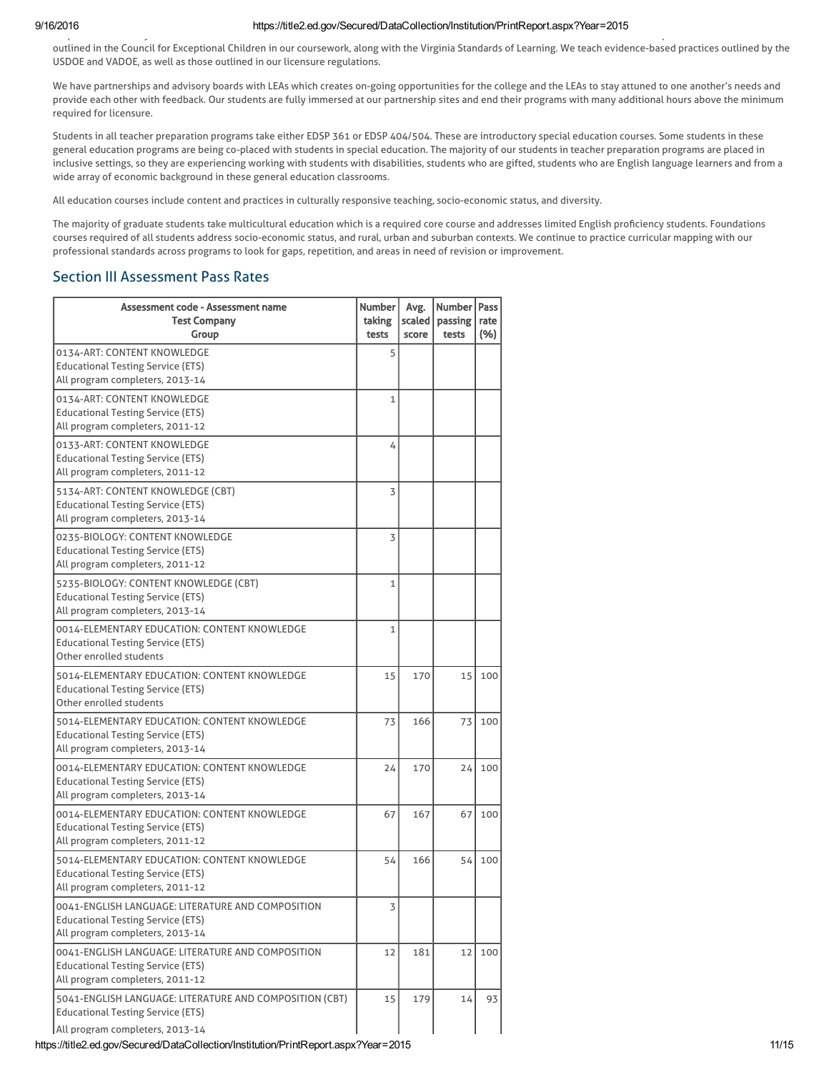#### 9/16/2016 https://title2.ed.gov/Secured/DataCollection/Institution/PrintReport.aspx?Year=2015 Preparation is closely linked with the needs of schools and the instructional decisions new teachers face in the classroom. We utilize all professional standards

outlined in the Council for Exceptional Children in our coursework, along with the Virginia Standards of Learning. We teach evidence-based practices outlined by the USDOE and VADOE, as well as those outlined in our licensure regulations.

We have partnerships and advisory boards with LEAs which creates on-going opportunities for the college and the LEAs to stay attuned to one another's needs and provide each other with feedback. Our students are fully immersed at our partnership sites and end their programs with many additional hours above the minimum required for licensure.

Students in all teacher preparation programs take either EDSP 361 or EDSP 404/504. These are introductory special education courses. Some students in these general education programs are being co-placed with students in special education. The majority of our students in teacher preparation programs are placed in inclusive settings, so they are experiencing working with students with disabilities, students who are gifted, students who are English language learners and from a wide array of economic background in these general education classrooms.

All education courses include content and practices in culturally responsive teaching, socio-economic status, and diversity.

The majority of graduate students take multicultural education which is a required core course and addresses limited English proficiency students. Foundations courses required of all students address socio-economic status, and rural, urban and suburban contexts. We continue to practice curricular mapping with our professional standards across programs to look for gaps, repetition, and areas in need of revision or improvement.

# Section III Assessment Pass Rates

| Assessment code - Assessment name<br><b>Test Company</b><br>Group                                                                      | <b>Number</b><br>taking<br>tests | Avg.<br>scaled  <br>score | Number   Pass<br>passing<br>tests | rate<br>(%) |
|----------------------------------------------------------------------------------------------------------------------------------------|----------------------------------|---------------------------|-----------------------------------|-------------|
| 0134-ART: CONTENT KNOWLEDGE<br><b>Educational Testing Service (ETS)</b><br>All program completers, 2013-14                             | 5                                |                           |                                   |             |
| 0134-ART: CONTENT KNOWLEDGE<br><b>Educational Testing Service (ETS)</b><br>All program completers, 2011-12                             | $\mathbf{1}$                     |                           |                                   |             |
| 0133-ART: CONTENT KNOWLEDGE<br><b>Educational Testing Service (ETS)</b><br>All program completers, 2011-12                             | 4                                |                           |                                   |             |
| 5134-ART: CONTENT KNOWLEDGE (CBT)<br><b>Educational Testing Service (ETS)</b><br>All program completers, 2013-14                       | 3                                |                           |                                   |             |
| 0235-BIOLOGY: CONTENT KNOWLEDGE<br><b>Educational Testing Service (ETS)</b><br>All program completers, 2011-12                         | 3                                |                           |                                   |             |
| 5235-BIOLOGY: CONTENT KNOWLEDGE (CBT)<br><b>Educational Testing Service (ETS)</b><br>All program completers, 2013-14                   | $\mathbf{1}$                     |                           |                                   |             |
| 0014-ELEMENTARY EDUCATION: CONTENT KNOWLEDGE<br><b>Educational Testing Service (ETS)</b><br>Other enrolled students                    | $\mathbf{1}$                     |                           |                                   |             |
| 5014-ELEMENTARY EDUCATION: CONTENT KNOWLEDGE<br><b>Educational Testing Service (ETS)</b><br>Other enrolled students                    | 15                               | 170                       | 15                                | 100         |
| 5014-ELEMENTARY EDUCATION: CONTENT KNOWLEDGE<br><b>Educational Testing Service (ETS)</b><br>All program completers, 2013-14            | 73                               | 166                       | 73                                | 100         |
| 0014-ELEMENTARY EDUCATION: CONTENT KNOWLEDGE<br><b>Educational Testing Service (ETS)</b><br>All program completers, 2013-14            | 24                               | 170                       | 24                                | 100         |
| 0014-ELEMENTARY EDUCATION: CONTENT KNOWLEDGE<br><b>Educational Testing Service (ETS)</b><br>All program completers, 2011-12            | 67                               | 167                       | 67                                | 100         |
| 5014-ELEMENTARY EDUCATION: CONTENT KNOWLEDGE<br><b>Educational Testing Service (ETS)</b><br>All program completers, 2011-12            | 54                               | 166                       | 54                                | 100         |
| 0041-ENGLISH LANGUAGE: LITERATURE AND COMPOSITION<br><b>Educational Testing Service (ETS)</b><br>All program completers, 2013-14       | 3                                |                           |                                   |             |
| 0041-ENGLISH LANGUAGE: LITERATURE AND COMPOSITION<br><b>Educational Testing Service (ETS)</b><br>All program completers, 2011-12       | 12                               | 181                       | 12                                | 100         |
| 5041-ENGLISH LANGUAGE: LITERATURE AND COMPOSITION (CBT)<br><b>Educational Testing Service (ETS)</b><br>All program completers, 2013-14 | 15                               | 179                       | 14                                | 93          |

https://title2.ed.gov/Secured/DataCollection/Institution/PrintReport.aspx?Year=2015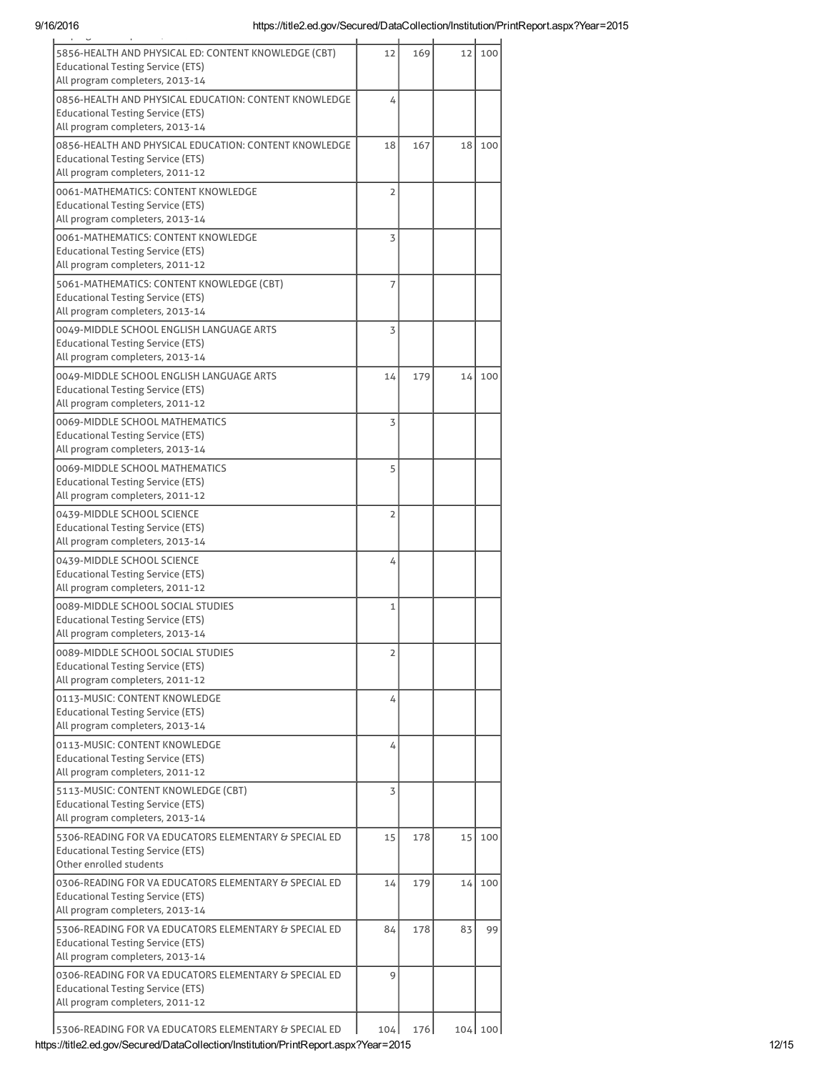| $\mathbf{r} = \mathbf{r} \times \mathbf{r}$ , where                                                                                  |       |     |    |         |
|--------------------------------------------------------------------------------------------------------------------------------------|-------|-----|----|---------|
| 5856-HEALTH AND PHYSICAL ED: CONTENT KNOWLEDGE (CBT)<br><b>Educational Testing Service (ETS)</b><br>All program completers, 2013-14  | 12    | 169 | 12 | 100     |
|                                                                                                                                      |       |     |    |         |
| 0856-HEALTH AND PHYSICAL EDUCATION: CONTENT KNOWLEDGE<br><b>Educational Testing Service (ETS)</b><br>All program completers, 2013-14 | 4     |     |    |         |
| 0856-HEALTH AND PHYSICAL EDUCATION: CONTENT KNOWLEDGE                                                                                | 18    | 167 | 18 | 100     |
| <b>Educational Testing Service (ETS)</b><br>All program completers, 2011-12                                                          |       |     |    |         |
| 0061-MATHEMATICS: CONTENT KNOWLEDGE                                                                                                  | 2     |     |    |         |
| <b>Educational Testing Service (ETS)</b>                                                                                             |       |     |    |         |
| All program completers, 2013-14                                                                                                      |       |     |    |         |
| 0061-MATHEMATICS: CONTENT KNOWLEDGE                                                                                                  | 3     |     |    |         |
| <b>Educational Testing Service (ETS)</b><br>All program completers, 2011-12                                                          |       |     |    |         |
| 5061-MATHEMATICS: CONTENT KNOWLEDGE (CBT)                                                                                            |       |     |    |         |
| <b>Educational Testing Service (ETS)</b>                                                                                             | 7     |     |    |         |
| All program completers, 2013-14                                                                                                      |       |     |    |         |
| 0049-MIDDLE SCHOOL ENGLISH LANGUAGE ARTS                                                                                             | 3     |     |    |         |
| <b>Educational Testing Service (ETS)</b>                                                                                             |       |     |    |         |
| All program completers, 2013-14                                                                                                      |       |     |    |         |
| 0049-MIDDLE SCHOOL ENGLISH LANGUAGE ARTS<br><b>Educational Testing Service (ETS)</b>                                                 | 14    | 179 | 14 | 100     |
| All program completers, 2011-12                                                                                                      |       |     |    |         |
| 0069-MIDDLE SCHOOL MATHEMATICS                                                                                                       | 3     |     |    |         |
| <b>Educational Testing Service (ETS)</b>                                                                                             |       |     |    |         |
| All program completers, 2013-14                                                                                                      |       |     |    |         |
| 0069-MIDDLE SCHOOL MATHEMATICS                                                                                                       | 5     |     |    |         |
| <b>Educational Testing Service (ETS)</b><br>All program completers, 2011-12                                                          |       |     |    |         |
| 0439-MIDDLE SCHOOL SCIENCE                                                                                                           | 2     |     |    |         |
| <b>Educational Testing Service (ETS)</b>                                                                                             |       |     |    |         |
| All program completers, 2013-14                                                                                                      |       |     |    |         |
| 0439-MIDDLE SCHOOL SCIENCE                                                                                                           | 4     |     |    |         |
| <b>Educational Testing Service (ETS)</b>                                                                                             |       |     |    |         |
| All program completers, 2011-12                                                                                                      |       |     |    |         |
| 0089-MIDDLE SCHOOL SOCIAL STUDIES<br><b>Educational Testing Service (ETS)</b>                                                        | 1     |     |    |         |
| All program completers, 2013-14                                                                                                      |       |     |    |         |
| 0089-MIDDLE SCHOOL SOCIAL STUDIES                                                                                                    | 2     |     |    |         |
| <b>Educational Testing Service (ETS)</b>                                                                                             |       |     |    |         |
| All program completers, 2011-12                                                                                                      |       |     |    |         |
| 0113-MUSIC: CONTENT KNOWLEDGE                                                                                                        | 4     |     |    |         |
| <b>Educational Testing Service (ETS)</b><br>All program completers, 2013-14                                                          |       |     |    |         |
| 0113-MUSIC: CONTENT KNOWLEDGE                                                                                                        | 4     |     |    |         |
| <b>Educational Testing Service (ETS)</b>                                                                                             |       |     |    |         |
| All program completers, 2011-12                                                                                                      |       |     |    |         |
| 5113-MUSIC: CONTENT KNOWLEDGE (CBT)                                                                                                  | 3     |     |    |         |
| <b>Educational Testing Service (ETS)</b><br>All program completers, 2013-14                                                          |       |     |    |         |
| 5306-READING FOR VA EDUCATORS ELEMENTARY & SPECIAL ED                                                                                | 15    | 178 | 15 | 100     |
| <b>Educational Testing Service (ETS)</b>                                                                                             |       |     |    |         |
| Other enrolled students                                                                                                              |       |     |    |         |
| 0306-READING FOR VA EDUCATORS ELEMENTARY & SPECIAL ED                                                                                | 14    | 179 | 14 | 100     |
| <b>Educational Testing Service (ETS)</b>                                                                                             |       |     |    |         |
| All program completers, 2013-14                                                                                                      |       |     |    |         |
| 5306-READING FOR VA EDUCATORS ELEMENTARY & SPECIAL ED<br><b>Educational Testing Service (ETS)</b>                                    | 84    | 178 | 83 | 99      |
| All program completers, 2013-14                                                                                                      |       |     |    |         |
| 0306-READING FOR VA EDUCATORS ELEMENTARY & SPECIAL ED                                                                                | 9     |     |    |         |
| <b>Educational Testing Service (ETS)</b>                                                                                             |       |     |    |         |
| All program completers, 2011-12                                                                                                      |       |     |    |         |
| 5306-READING FOR VA EDUCATORS ELEMENTARY & SPECIAL ED                                                                                | 104 l | 176 |    | 104 100 |
|                                                                                                                                      |       |     |    |         |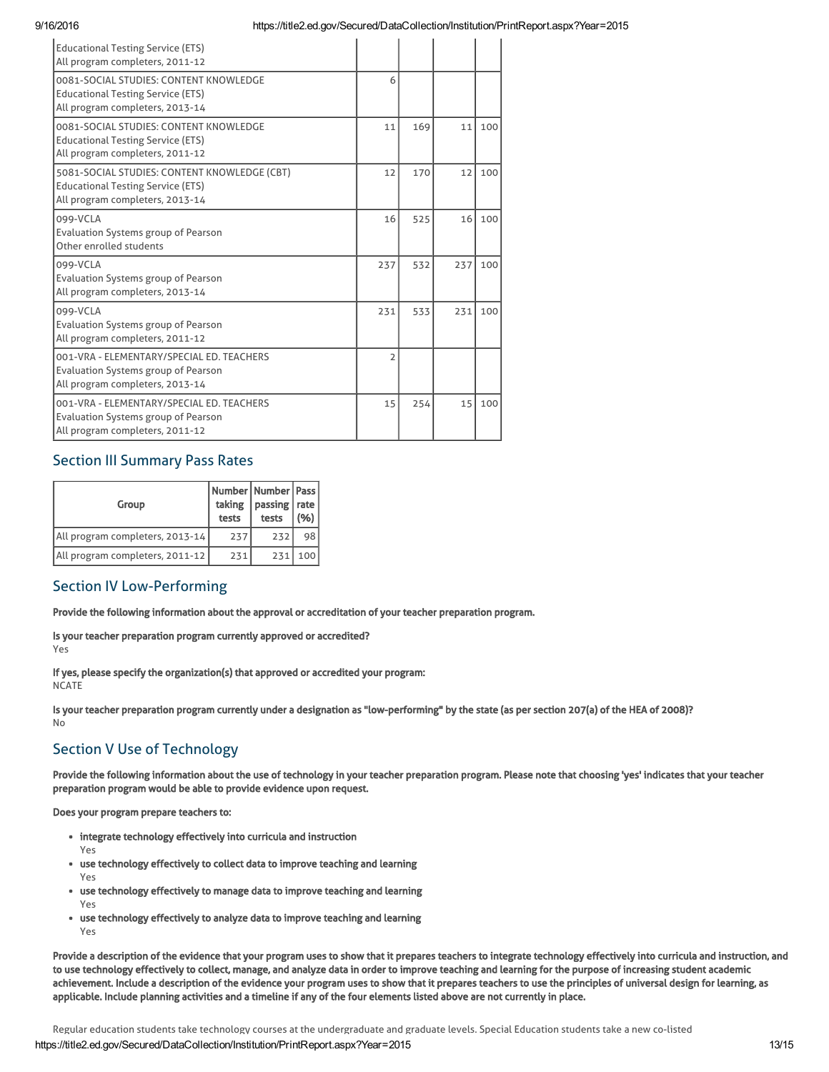| <b>Educational Testing Service (ETS)</b><br>All program completers, 2011-12                                                 |                |     |     |     |
|-----------------------------------------------------------------------------------------------------------------------------|----------------|-----|-----|-----|
| 0081-SOCIAL STUDIES: CONTENT KNOWLEDGE<br><b>Educational Testing Service (ETS)</b><br>All program completers, 2013-14       | 6              |     |     |     |
| 0081-SOCIAL STUDIES: CONTENT KNOWLEDGE<br><b>Educational Testing Service (ETS)</b><br>All program completers, 2011-12       | 11             | 169 | 11  | 100 |
| 5081-SOCIAL STUDIES: CONTENT KNOWLEDGE (CBT)<br><b>Educational Testing Service (ETS)</b><br>All program completers, 2013-14 | 12             | 170 | 12  | 100 |
| 099-VCLA<br>Evaluation Systems group of Pearson<br>Other enrolled students                                                  | 16             | 525 | 16  | 100 |
| 099-VCLA<br>Evaluation Systems group of Pearson<br>All program completers, 2013-14                                          | 237            | 532 | 237 | 100 |
| 099-VCLA<br>Evaluation Systems group of Pearson<br>All program completers, 2011-12                                          | 231            | 533 | 231 | 100 |
| 001-VRA - ELEMENTARY/SPECIAL ED. TEACHERS<br>Evaluation Systems group of Pearson<br>All program completers, 2013-14         | $\overline{2}$ |     |     |     |
| 001-VRA - ELEMENTARY/SPECIAL ED. TEACHERS<br>Evaluation Systems group of Pearson<br>All program completers, 2011-12         | 15             | 254 | 15  | 100 |

# Section III Summary Pass Rates

| Group                           | taking<br>tests | Number   Number   Pass  <br>passing   rate<br>tests | (96) |
|---------------------------------|-----------------|-----------------------------------------------------|------|
| All program completers, 2013-14 | 237             | 232                                                 | 98   |
| All program completers, 2011-12 | 231             | 231                                                 | 100  |

# Section IV Low-Performing

Provide the following information about the approval or accreditation of your teacher preparation program.

Is your teacher preparation program currently approved or accredited? Yes

If yes, please specify the organization(s) that approved or accredited your program: **NCATE** 

Is your teacher preparation program currently under a designation as "low-performing" by the state (as per section 207(a) of the HEA of 2008)? No

# Section V Use of Technology

Provide the following information about the use of technology in your teacher preparation program. Please note that choosing 'yes' indicates that your teacher preparation program would be able to provide evidence upon request.

Does your program prepare teachers to:

- integrate technology effectively into curricula and instruction
	- Yes
- use technology effectively to collect data to improve teaching and learning Yes
- use technology effectively to manage data to improve teaching and learning Yes
- use technology effectively to analyze data to improve teaching and learning Yes

Provide a description of the evidence that your program uses to show that it prepares teachers to integrate technology effectively into curricula and instruction, and to use technology effectively to collect, manage, and analyze data in order to improve teaching and learning for the purpose of increasing student academic achievement. Include a description of the evidence your program uses to show that it prepares teachers to use the principles of universal design for learning, as applicable. Include planning activities and a timeline if any of the four elements listed above are not currently in place.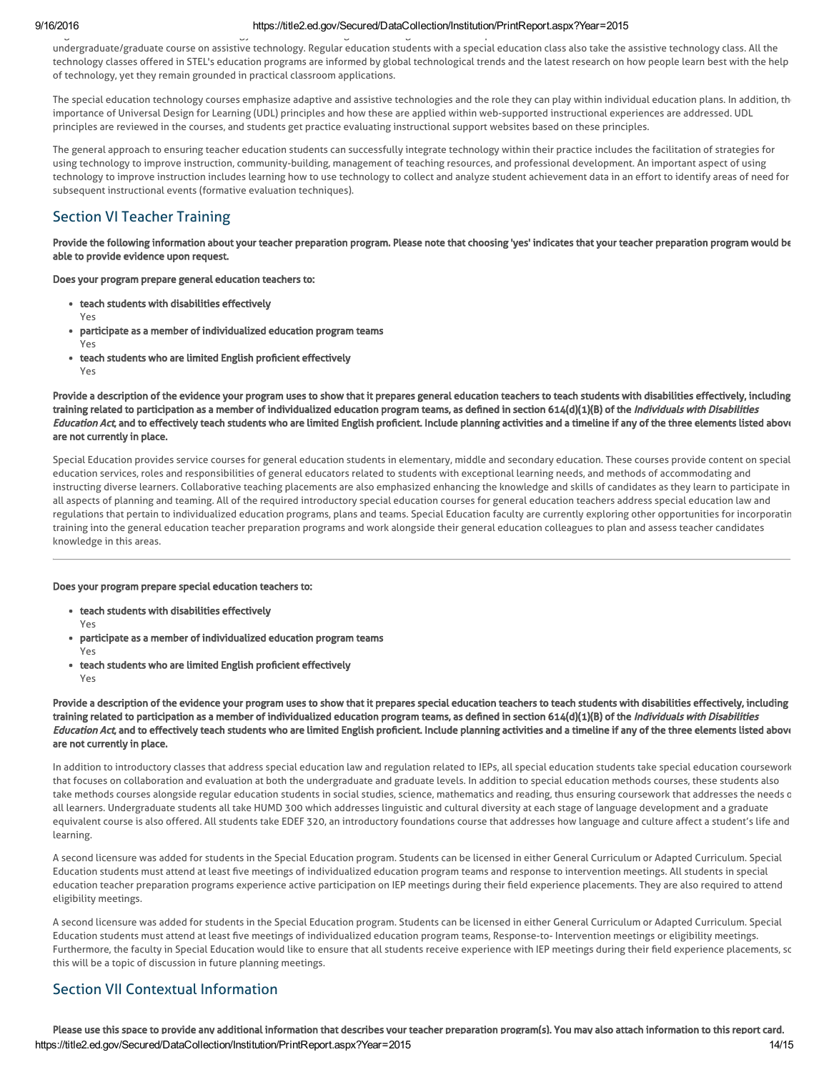#### 9/16/2016 https://title2.ed.gov/Secured/DataCollection/Institution/PrintReport.aspx?Year=2015 Regular education students take technology courses at the undergraduate and graduate levels. Special Education students take a new co-listed

undergraduate/graduate course on assistive technology. Regular education students with a special education class also take the assistive technology class. All the technology classes offered in STEL's education programs are informed by global technological trends and the latest research on how people learn best with the help of technology, yet they remain grounded in practical classroom applications.

The special education technology courses emphasize adaptive and assistive technologies and the role they can play within individual education plans. In addition, the importance of Universal Design for Learning (UDL) principles and how these are applied within web-supported instructional experiences are addressed. UDL principles are reviewed in the courses, and students get practice evaluating instructional support websites based on these principles.

The general approach to ensuring teacher education students can successfully integrate technology within their practice includes the facilitation of strategies for using technology to improve instruction, community-building, management of teaching resources, and professional development. An important aspect of using technology to improve instruction includes learning how to use technology to collect and analyze student achievement data in an effort to identify areas of need for subsequent instructional events (formative evaluation techniques).

# Section VI Teacher Training

Provide the following information about your teacher preparation program. Please note that choosing 'yes' indicates that your teacher preparation program would be able to provide evidence upon request.

Does your program prepare general education teachers to:

- teach students with disabilities effectively
	- Yes
- participate as a member of individualized education program teams Yes
- teach students who are limited English proficient effectively Yes

Provide a description of the evidence your program uses to show that it prepares general education teachers to teach students with disabilities effectively, including training related to participation as a member of individualized education program teams, as defined in section 614(d)(1)(B) of the Individuals with Disabilities Education Act, and to effectively teach students who are limited English proficient. Include planning activities and a timeline if any of the three elements listed above are not currently in place.

Special Education provides service courses for general education students in elementary, middle and secondary education. These courses provide content on special education services, roles and responsibilities of general educators related to students with exceptional learning needs, and methods of accommodating and instructing diverse learners. Collaborative teaching placements are also emphasized enhancing the knowledge and skills of candidates as they learn to participate in all aspects of planning and teaming. All of the required introductory special education courses for general education teachers address special education law and regulations that pertain to individualized education programs, plans and teams. Special Education faculty are currently exploring other opportunities for incorporatin training into the general education teacher preparation programs and work alongside their general education colleagues to plan and assess teacher candidates knowledge in this areas.

Does your program prepare special education teachers to:

- teach students with disabilities effectively Yes
- participate as a member of individualized education program teams Yes
- teach students who are limited English proficient effectively Yes

Provide a description of the evidence your program uses to show that it prepares special education teachers to teach students with disabilities effectively, including training related to participation as a member of individualized education program teams, as defined in section 614(d)(1)(B) of the Individuals with Disabilities Education Act, and to effectively teach students who are limited English proficient. Include planning activities and a timeline if any of the three elements listed above are not currently in place.

In addition to introductory classes that address special education law and regulation related to IEPs, all special education students take special education coursework that focuses on collaboration and evaluation at both the undergraduate and graduate levels. In addition to special education methods courses, these students also take methods courses alongside regular education students in social studies, science, mathematics and reading, thus ensuring coursework that addresses the needs c all learners. Undergraduate students all take HUMD 300 which addresses linguistic and cultural diversity at each stage of language development and a graduate equivalent course is also offered. All students take EDEF 320, an introductory foundations course that addresses how language and culture affect a student's life and learning.

A second licensure was added for students in the Special Education program. Students can be licensed in either General Curriculum or Adapted Curriculum. Special Education students must attend at least five meetings of individualized education program teams and response to intervention meetings. All students in special education teacher preparation programs experience active participation on IEP meetings during their field experience placements. They are also required to attend eligibility meetings.

A second licensure was added for students in the Special Education program. Students can be licensed in either General Curriculum or Adapted Curriculum. Special Education students must attend at least five meetings of individualized education program teams, Response-to- Intervention meetings or eligibility meetings. Furthermore, the faculty in Special Education would like to ensure that all students receive experience with IEP meetings during their field experience placements, so this will be a topic of discussion in future planning meetings.

# Section VII Contextual Information

https://title2.ed.gov/Secured/DataCollection/Institution/PrintReport.aspx?Year=2015 Please use this space to provide any additional information that describes your teacher preparation program(s). You may also attach information to this report card.